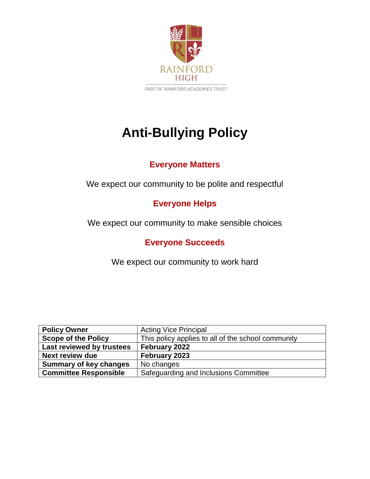

PART OF RAINFORD ACADEMIES TRUST

# **Anti-Bullying Policy**

# **Everyone Matters**

We expect our community to be polite and respectful

# **Everyone Helps**

We expect our community to make sensible choices

**Everyone Succeeds**

We expect our community to work hard

| <b>Policy Owner</b>           | <b>Acting Vice Principal</b>                       |
|-------------------------------|----------------------------------------------------|
| <b>Scope of the Policy</b>    | This policy applies to all of the school community |
| Last reviewed by trustees     | February 2022                                      |
| <b>Next review due</b>        | February 2023                                      |
| <b>Summary of key changes</b> | No changes                                         |
| <b>Committee Responsible</b>  | Safeguarding and Inclusions Committee              |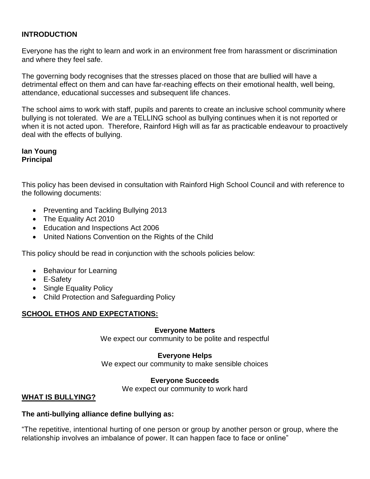#### **INTRODUCTION**

Everyone has the right to learn and work in an environment free from harassment or discrimination and where they feel safe.

The governing body recognises that the stresses placed on those that are bullied will have a detrimental effect on them and can have far-reaching effects on their emotional health, well being, attendance, educational successes and subsequent life chances.

The school aims to work with staff, pupils and parents to create an inclusive school community where bullying is not tolerated. We are a TELLING school as bullying continues when it is not reported or when it is not acted upon. Therefore, Rainford High will as far as practicable endeavour to proactively deal with the effects of bullying.

#### **Ian Young Principal**

This policy has been devised in consultation with Rainford High School Council and with reference to the following documents:

- Preventing and Tackling Bullying 2013
- The Equality Act 2010
- Education and Inspections Act 2006
- United Nations Convention on the Rights of the Child

This policy should be read in conjunction with the schools policies below:

- Behaviour for Learning
- E-Safety
- Single Equality Policy
- Child Protection and Safeguarding Policy

## **SCHOOL ETHOS AND EXPECTATIONS:**

#### **Everyone Matters**

We expect our community to be polite and respectful

#### **Everyone Helps**

We expect our community to make sensible choices

#### **Everyone Succeeds**

We expect our community to work hard

#### **WHAT IS BULLYING?**

#### **The anti-bullying alliance define bullying as:**

"The repetitive, intentional hurting of one person or group by another person or group, where the relationship involves an imbalance of power. It can happen face to face or online"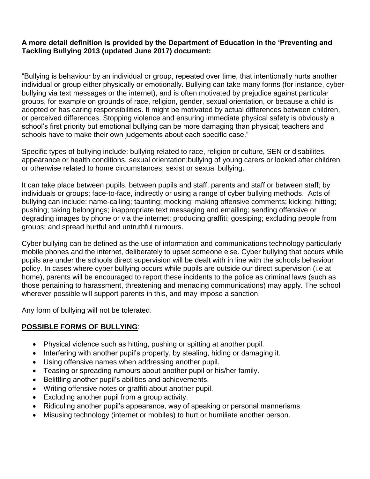#### **A more detail definition is provided by the Department of Education in the 'Preventing and Tackling Bullying 2013 (updated June 2017) document:**

"Bullying is behaviour by an individual or group, repeated over time, that intentionally hurts another individual or group either physically or emotionally. Bullying can take many forms (for instance, cyberbullying via text messages or the internet), and is often motivated by prejudice against particular groups, for example on grounds of race, religion, gender, sexual orientation, or because a child is adopted or has caring responsibilities. It might be motivated by actual differences between children, or perceived differences. Stopping violence and ensuring immediate physical safety is obviously a school's first priority but emotional bullying can be more damaging than physical; teachers and schools have to make their own judgements about each specific case."

Specific types of bullying include: bullying related to race, religion or culture, SEN or disabilites, appearance or health conditions, sexual orientation;bullying of young carers or looked after children or otherwise related to home circumstances; sexist or sexual bullying.

It can take place between pupils, between pupils and staff, parents and staff or between staff; by individuals or groups; face-to-face, indirectly or using a range of cyber bullying methods. Acts of bullying can include: name-calling; taunting; mocking; making offensive comments; kicking; hitting; pushing; taking belongings; inappropriate text messaging and emailing; sending offensive or degrading images by phone or via the internet; producing graffiti; gossiping; excluding people from groups; and spread hurtful and untruthful rumours.

Cyber bullying can be defined as the use of information and communications technology particularly mobile phones and the internet, deliberately to upset someone else. Cyber bullying that occurs while pupils are under the schools direct supervision will be dealt with in line with the schools behaviour policy. In cases where cyber bullying occurs while pupils are outside our direct supervision (i.e at home), parents will be encouraged to report these incidents to the police as criminal laws (such as those pertaining to harassment, threatening and menacing communications) may apply. The school wherever possible will support parents in this, and may impose a sanction.

Any form of bullying will not be tolerated.

# **POSSIBLE FORMS OF BULLYING**:

- Physical violence such as hitting, pushing or spitting at another pupil.
- Interfering with another pupil's property, by stealing, hiding or damaging it.
- Using offensive names when addressing another pupil.
- Teasing or spreading rumours about another pupil or his/her family.
- Belittling another pupil's abilities and achievements.
- Writing offensive notes or graffiti about another pupil.
- Excluding another pupil from a group activity.
- Ridiculing another pupil's appearance, way of speaking or personal mannerisms.
- Misusing technology (internet or mobiles) to hurt or humiliate another person.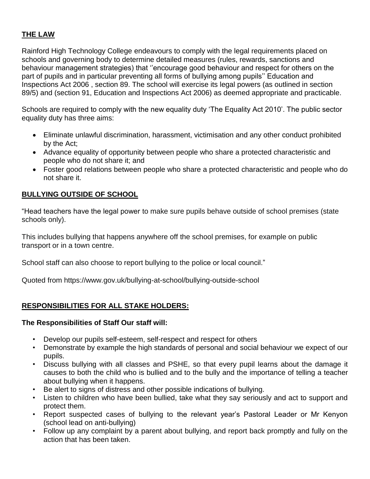# **THE LAW**

Rainford High Technology College endeavours to comply with the legal requirements placed on schools and governing body to determine detailed measures (rules, rewards, sanctions and behaviour management strategies) that ''encourage good behaviour and respect for others on the part of pupils and in particular preventing all forms of bullying among pupils'' Education and Inspections Act 2006 , section 89. The school will exercise its legal powers (as outlined in section 89/5) and (section 91, Education and Inspections Act 2006) as deemed appropriate and practicable.

Schools are required to comply with the new equality duty 'The Equality Act 2010'. The public sector equality duty has three aims:

- Eliminate unlawful discrimination, harassment, victimisation and any other conduct prohibited by the Act;
- Advance equality of opportunity between people who share a protected characteristic and people who do not share it; and
- Foster good relations between people who share a protected characteristic and people who do not share it.

## **BULLYING OUTSIDE OF SCHOOL**

"Head teachers have the legal power to make sure pupils behave outside of school premises (state schools only).

This includes bullying that happens anywhere off the school premises, for example on public transport or in a town centre.

School staff can also choose to report bullying to the police or local council."

Quoted from https://www.gov.uk/bullying-at-school/bullying-outside-school

## **RESPONSIBILITIES FOR ALL STAKE HOLDERS:**

#### **The Responsibilities of Staff Our staff will:**

- Develop our pupils self-esteem, self-respect and respect for others
- Demonstrate by example the high standards of personal and social behaviour we expect of our pupils.
- Discuss bullying with all classes and PSHE, so that every pupil learns about the damage it causes to both the child who is bullied and to the bully and the importance of telling a teacher about bullying when it happens.
- Be alert to signs of distress and other possible indications of bullying.
- Listen to children who have been bullied, take what they say seriously and act to support and protect them.
- Report suspected cases of bullying to the relevant year's Pastoral Leader or Mr Kenyon (school lead on anti-bullying)
- Follow up any complaint by a parent about bullying, and report back promptly and fully on the action that has been taken.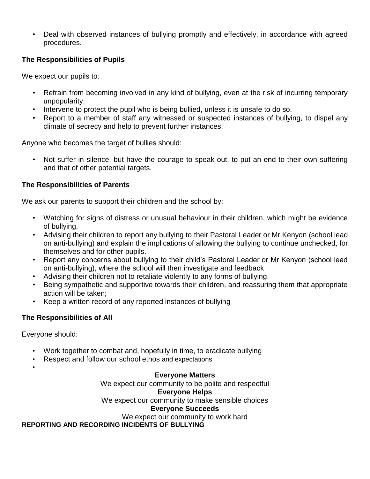• Deal with observed instances of bullying promptly and effectively, in accordance with agreed procedures.

## **The Responsibilities of Pupils**

We expect our pupils to:

- Refrain from becoming involved in any kind of bullying, even at the risk of incurring temporary unpopularity.
- Intervene to protect the pupil who is being bullied, unless it is unsafe to do so.
- Report to a member of staff any witnessed or suspected instances of bullying, to dispel any climate of secrecy and help to prevent further instances.

Anyone who becomes the target of bullies should:

• Not suffer in silence, but have the courage to speak out, to put an end to their own suffering and that of other potential targets.

#### **The Responsibilities of Parents**

We ask our parents to support their children and the school by:

- Watching for signs of distress or unusual behaviour in their children, which might be evidence of bullying.
- Advising their children to report any bullying to their Pastoral Leader or Mr Kenyon (school lead on anti-bullying) and explain the implications of allowing the bullying to continue unchecked, for themselves and for other pupils.
- Report any concerns about bullying to their child's Pastoral Leader or Mr Kenyon (school lead on anti-bullying), where the school will then investigate and feedback
- Advising their children not to retaliate violently to any forms of bullying.
- Being sympathetic and supportive towards their children, and reassuring them that appropriate action will be taken;
- Keep a written record of any reported instances of bullying

## **The Responsibilities of All**

Everyone should:

•

- Work together to combat and, hopefully in time, to eradicate bullying
- Respect and follow our school ethos and expectations

## **Everyone Matters**

We expect our community to be polite and respectful **Everyone Helps** We expect our community to make sensible choices

#### **Everyone Succeeds**

We expect our community to work hard

**REPORTING AND RECORDING INCIDENTS OF BULLYING**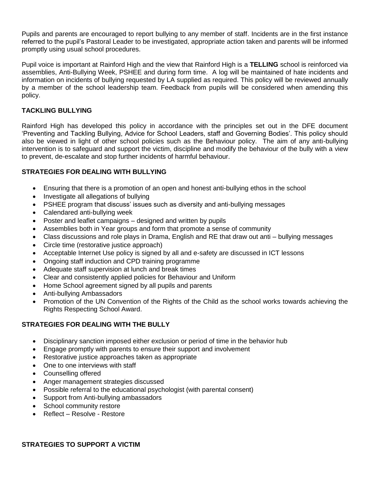Pupils and parents are encouraged to report bullying to any member of staff. Incidents are in the first instance referred to the pupil's Pastoral Leader to be investigated, appropriate action taken and parents will be informed promptly using usual school procedures.

Pupil voice is important at Rainford High and the view that Rainford High is a **TELLING** school is reinforced via assemblies, Anti-Bullying Week, PSHEE and during form time. A log will be maintained of hate incidents and information on incidents of bullying requested by LA supplied as required. This policy will be reviewed annually by a member of the school leadership team. Feedback from pupils will be considered when amending this policy.

#### **TACKLING BULLYING**

Rainford High has developed this policy in accordance with the principles set out in the DFE document 'Preventing and Tackling Bullying, Advice for School Leaders, staff and Governing Bodies'. This policy should also be viewed in light of other school policies such as the Behaviour policy. The aim of any anti-bullying intervention is to safeguard and support the victim, discipline and modify the behaviour of the bully with a view to prevent, de-escalate and stop further incidents of harmful behaviour.

#### **STRATEGIES FOR DEALING WITH BULLYING**

- Ensuring that there is a promotion of an open and honest anti-bullying ethos in the school
- Investigate all allegations of bullying
- PSHEE program that discuss' issues such as diversity and anti-bullying messages
- Calendared anti-bullying week
- Poster and leaflet campaigns designed and written by pupils
- Assemblies both in Year groups and form that promote a sense of community
- Class discussions and role plays in Drama, English and RE that draw out anti bullying messages
- Circle time (restorative justice approach)
- Acceptable Internet Use policy is signed by all and e-safety are discussed in ICT lessons
- Ongoing staff induction and CPD training programme
- Adequate staff supervision at lunch and break times
- Clear and consistently applied policies for Behaviour and Uniform
- Home School agreement signed by all pupils and parents
- Anti-bullying Ambassadors
- Promotion of the UN Convention of the Rights of the Child as the school works towards achieving the Rights Respecting School Award.

#### **STRATEGIES FOR DEALING WITH THE BULLY**

- Disciplinary sanction imposed either exclusion or period of time in the behavior hub
- Engage promptly with parents to ensure their support and involvement
- Restorative justice approaches taken as appropriate
- One to one interviews with staff
- Counselling offered
- Anger management strategies discussed
- Possible referral to the educational psychologist (with parental consent)
- Support from Anti-bullying ambassadors
- School community restore
- Reflect Resolve Restore

**STRATEGIES TO SUPPORT A VICTIM**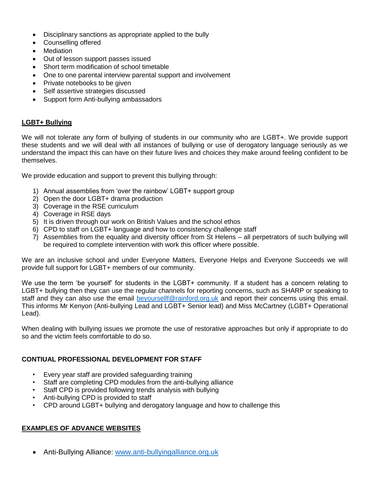- Disciplinary sanctions as appropriate applied to the bully
- Counselling offered
- **Mediation**
- Out of lesson support passes issued
- Short term modification of school timetable
- One to one parental interview parental support and involvement
- Private notebooks to be given
- Self assertive strategies discussed
- Support form Anti-bullying ambassadors

#### **LGBT+ Bullying**

We will not tolerate any form of bullying of students in our community who are LGBT+. We provide support these students and we will deal with all instances of bullying or use of derogatory language seriously as we understand the impact this can have on their future lives and choices they make around feeling confident to be themselves.

We provide education and support to prevent this bullying through:

- 1) Annual assemblies from 'over the rainbow' LGBT+ support group
- 2) Open the door LGBT+ drama production
- 3) Coverage in the RSE curriculum
- 4) Coverage in RSE days
- 5) It is driven through our work on British Values and the school ethos
- 6) CPD to staff on LGBT+ language and how to consistency challenge staff
- 7) Assemblies from the equality and diversity officer from St Helens all perpetrators of such bullying will be required to complete intervention with work this officer where possible.

We are an inclusive school and under Everyone Matters, Everyone Helps and Everyone Succeeds we will provide full support for LGBT+ members of our community.

We use the term 'be yourself' for students in the LGBT+ community. If a student has a concern relating to LGBT+ bullying then they can use the regular channels for reporting concerns, such as SHARP or speaking to staff and they can also use the email [beyoursellf@rainford.org.uk](mailto:beyoursellf@rainford.org.uk) and report their concerns using this email. This informs Mr Kenyon (Anti-bullying Lead and LGBT+ Senior lead) and Miss McCartney (LGBT+ Operational Lead).

When dealing with bullying issues we promote the use of restorative approaches but only if appropriate to do so and the victim feels comfortable to do so.

#### **CONTIUAL PROFESSIONAL DEVELOPMENT FOR STAFF**

- Every year staff are provided safeguarding training
- Staff are completing CPD modules from the anti-bullying alliance
- Staff CPD is provided following trends analysis with bullying
- Anti-bullying CPD is provided to staff
- CPD around LGBT+ bullying and derogatory language and how to challenge this

#### **EXAMPLES OF ADVANCE WEBSITES**

• Anti-Bullying Alliance: [www.anti-bullyingalliance.org.uk](http://www.anti-bullyingalliance.org.uk/)